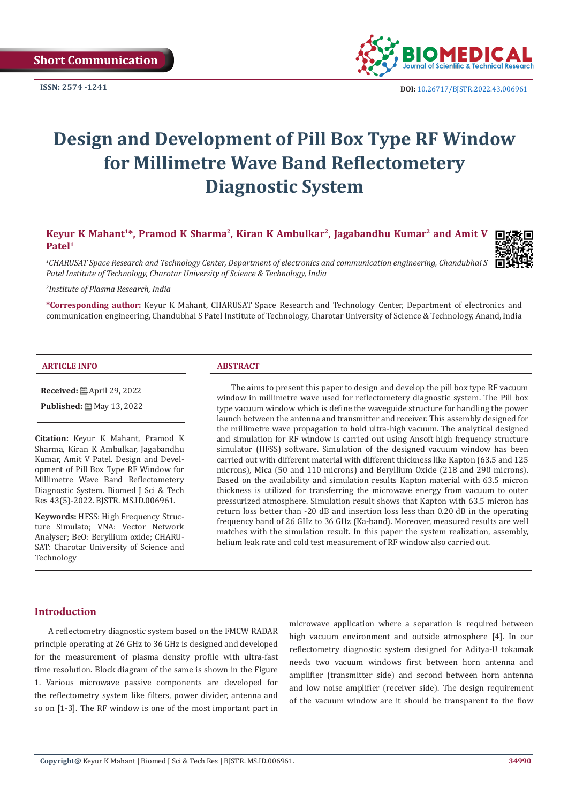

# **Design and Development of Pill Box Type RF Window for Millimetre Wave Band Reflectometery Diagnostic System**

Keyur K Mahant<sup>1\*</sup>, Pramod K Sharma<sup>2</sup>, Kiran K Ambulkar<sup>2</sup>, Jagabandhu Kumar<sup>2</sup> and Amit V **Patel1**



*1 CHARUSAT Space Research and Technology Center, Department of electronics and communication engineering, Chandubhai S Patel Institute of Technology, Charotar University of Science & Technology, India*

*2 Institute of Plasma Research, India*

**\*Corresponding author:** Keyur K Mahant, CHARUSAT Space Research and Technology Center, Department of electronics and communication engineering, Chandubhai S Patel Institute of Technology, Charotar University of Science & Technology, Anand, India

#### **ARTICLE INFO ABSTRACT**

**Received:** April 29, 2022

**Published:** 圖 May 13, 2022

**Citation:** Keyur K Mahant, Pramod K Sharma, Kiran K Ambulkar, Jagabandhu Kumar, Amit V Patel. Design and Development of Pill Box Type RF Window for Millimetre Wave Band Reflectometery Diagnostic System. Biomed J Sci & Tech Res 43(5)-2022. BJSTR. MS.ID.006961.

**Keywords:** HFSS: High Frequency Structure Simulato; VNA: Vector Network Analyser; BeO: Beryllium oxide; CHARU-SAT: Charotar University of Science and Technology

The aims to present this paper to design and develop the pill box type RF vacuum window in millimetre wave used for reflectometery diagnostic system. The Pill box type vacuum window which is define the waveguide structure for handling the power launch between the antenna and transmitter and receiver. This assembly designed for the millimetre wave propagation to hold ultra-high vacuum. The analytical designed and simulation for RF window is carried out using Ansoft high frequency structure simulator (HFSS) software. Simulation of the designed vacuum window has been carried out with different material with different thickness like Kapton (63.5 and 125 microns), Mica (50 and 110 microns) and Beryllium Oxide (218 and 290 microns). Based on the availability and simulation results Kapton material with 63.5 micron thickness is utilized for transferring the microwave energy from vacuum to outer pressurized atmosphere. Simulation result shows that Kapton with 63.5 micron has return loss better than -20 dB and insertion loss less than 0.20 dB in the operating frequency band of 26 GHz to 36 GHz (Ka-band). Moreover, measured results are well matches with the simulation result. In this paper the system realization, assembly, helium leak rate and cold test measurement of RF window also carried out.

#### **Introduction**

A reflectometry diagnostic system based on the FMCW RADAR principle operating at 26 GHz to 36 GHz is designed and developed for the measurement of plasma density profile with ultra-fast time resolution. Block diagram of the same is shown in the Figure 1. Various microwave passive components are developed for the reflectometry system like filters, power divider, antenna and so on [1-3]. The RF window is one of the most important part in

microwave application where a separation is required between high vacuum environment and outside atmosphere [4]. In our reflectometry diagnostic system designed for Aditya-U tokamak needs two vacuum windows first between horn antenna and amplifier (transmitter side) and second between horn antenna and low noise amplifier (receiver side). The design requirement of the vacuum window are it should be transparent to the flow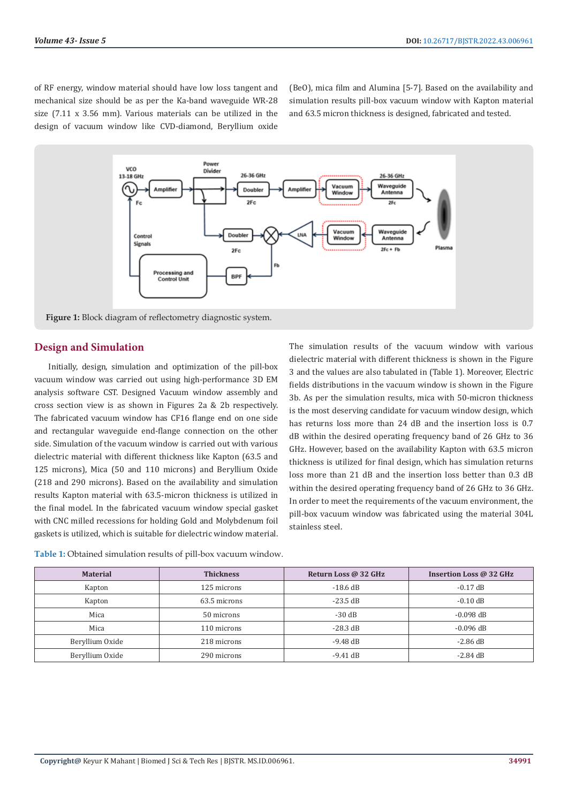of RF energy, window material should have low loss tangent and mechanical size should be as per the Ka-band waveguide WR-28 size (7.11 x 3.56 mm). Various materials can be utilized in the design of vacuum window like CVD-diamond, Beryllium oxide

(BeO), mica film and Alumina [5-7]. Based on the availability and simulation results pill-box vacuum window with Kapton material and 63.5 micron thickness is designed, fabricated and tested.



**Figure 1:** Block diagram of reflectometry diagnostic system.

#### **Design and Simulation**

Initially, design, simulation and optimization of the pill-box vacuum window was carried out using high-performance 3D EM analysis software CST. Designed Vacuum window assembly and cross section view is as shown in Figures 2a & 2b respectively. The fabricated vacuum window has CF16 flange end on one side and rectangular waveguide end-flange connection on the other side. Simulation of the vacuum window is carried out with various dielectric material with different thickness like Kapton (63.5 and 125 microns), Mica (50 and 110 microns) and Beryllium Oxide (218 and 290 microns). Based on the availability and simulation results Kapton material with 63.5-micron thickness is utilized in the final model. In the fabricated vacuum window special gasket with CNC milled recessions for holding Gold and Molybdenum foil gaskets is utilized, which is suitable for dielectric window material.

The simulation results of the vacuum window with various dielectric material with different thickness is shown in the Figure 3 and the values are also tabulated in (Table 1). Moreover, Electric fields distributions in the vacuum window is shown in the Figure 3b. As per the simulation results, mica with 50-micron thickness is the most deserving candidate for vacuum window design, which has returns loss more than 24 dB and the insertion loss is 0.7 dB within the desired operating frequency band of 26 GHz to 36 GHz. However, based on the availability Kapton with 63.5 micron thickness is utilized for final design, which has simulation returns loss more than 21 dB and the insertion loss better than 0.3 dB within the desired operating frequency band of 26 GHz to 36 GHz. In order to meet the requirements of the vacuum environment, the pill-box vacuum window was fabricated using the material 304L stainless steel.

| <b>Material</b> | <b>Thickness</b> | Return Loss @ 32 GHz | Insertion Loss @ 32 GHz |
|-----------------|------------------|----------------------|-------------------------|
| Kapton          | 125 microns      | $-18.6$ dB           | $-0.17$ dB              |
| Kapton          | 63.5 microns     | $-23.5$ dB           | $-0.10$ dB              |
| Mica            | 50 microns       | $-30$ dB             | $-0.098$ dB             |
| Mica            | 110 microns      | $-28.3$ dB           | $-0.096$ dB             |
| Beryllium Oxide | 218 microns      | $-9.48$ dB           | $-2.86$ dB              |
| Beryllium Oxide | 290 microns      | $-9.41$ dB           | $-2.84$ dB              |

| <b>Table 1:</b> Obtained simulation results of pill-box vacuum window. |  |
|------------------------------------------------------------------------|--|
|------------------------------------------------------------------------|--|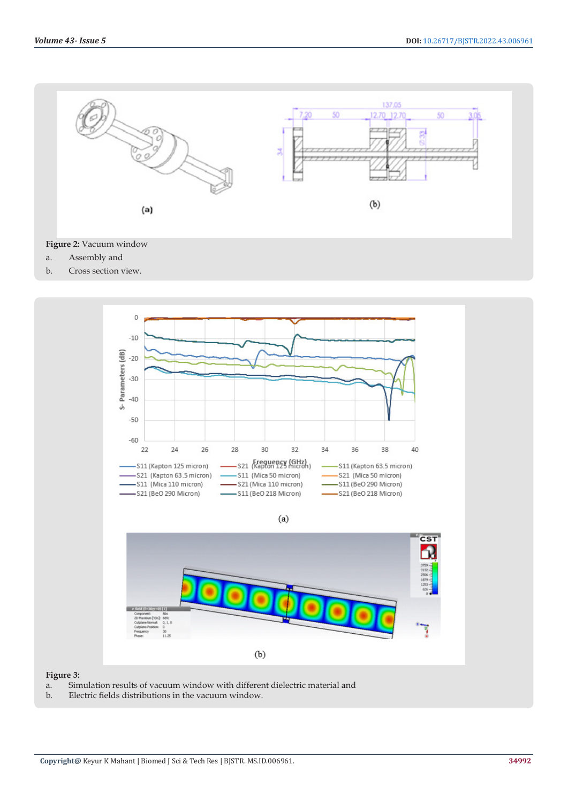

## **Figure 2:** Vacuum window

- a. Assembly and
- b. Cross section view.



#### **Figure 3:**

- a. Simulation results of vacuum window with different dielectric material and
- b. Electric fields distributions in the vacuum window.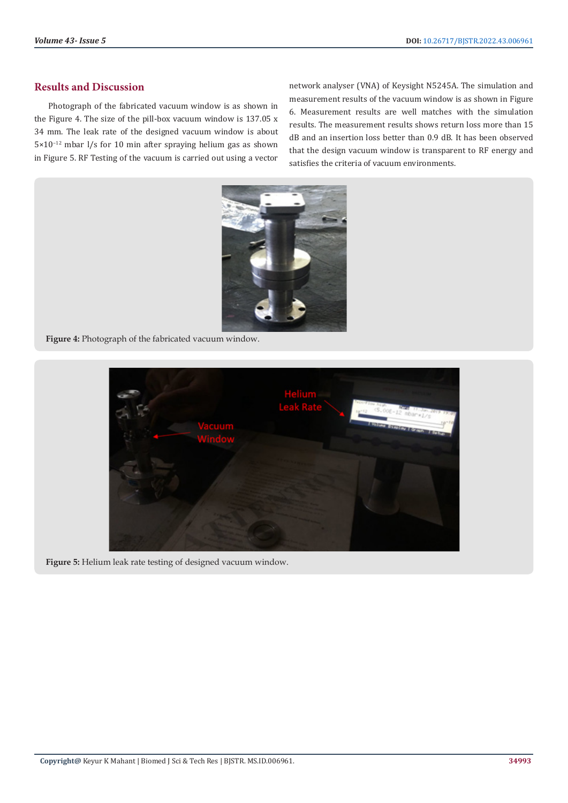### **Results and Discussion**

Photograph of the fabricated vacuum window is as shown in the Figure 4. The size of the pill-box vacuum window is 137.05 x 34 mm. The leak rate of the designed vacuum window is about 5×10−12 mbar l/s for 10 min after spraying helium gas as shown in Figure 5. RF Testing of the vacuum is carried out using a vector

network analyser (VNA) of Keysight N5245A. The simulation and measurement results of the vacuum window is as shown in Figure 6. Measurement results are well matches with the simulation results. The measurement results shows return loss more than 15 dB and an insertion loss better than 0.9 dB. It has been observed that the design vacuum window is transparent to RF energy and satisfies the criteria of vacuum environments.



**Figure 4:** Photograph of the fabricated vacuum window.



**Figure 5:** Helium leak rate testing of designed vacuum window.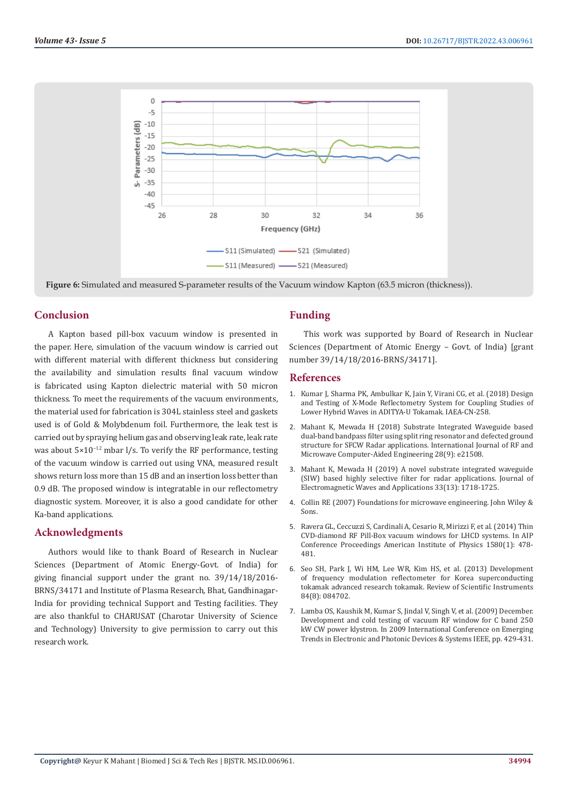

**Figure 6:** Simulated and measured S-parameter results of the Vacuum window Kapton (63.5 micron (thickness)).

#### **Conclusion**

A Kapton based pill-box vacuum window is presented in the paper. Here, simulation of the vacuum window is carried out with different material with different thickness but considering the availability and simulation results final vacuum window is fabricated using Kapton dielectric material with 50 micron thickness. To meet the requirements of the vacuum environments, the material used for fabrication is 304L stainless steel and gaskets used is of Gold & Molybdenum foil. Furthermore, the leak test is carried out by spraying helium gas and observing leak rate, leak rate was about 5×10<sup>-12</sup> mbar l/s. To verify the RF performance, testing of the vacuum window is carried out using VNA, measured result shows return loss more than 15 dB and an insertion loss better than 0.9 dB. The proposed window is integratable in our reflectometry diagnostic system. Moreover, it is also a good candidate for other Ka-band applications.

#### **Acknowledgments**

Authors would like to thank Board of Research in Nuclear Sciences (Department of Atomic Energy-Govt. of India) for giving financial support under the grant no. 39/14/18/2016- BRNS/34171 and Institute of Plasma Research, Bhat, Gandhinagar-India for providing technical Support and Testing facilities. They are also thankful to CHARUSAT (Charotar University of Science and Technology) University to give permission to carry out this research work.

#### **Funding**

This work was supported by Board of Research in Nuclear Sciences (Department of Atomic Energy – Govt. of India) [grant number 39/14/18/2016-BRNS/34171].

#### **References**

- 1. [Kumar J, Sharma PK, Ambulkar K, Jain Y, Virani CG, et al. \(2018\) Design](https://inis.iaea.org/search/search.aspx?orig_q=RN:50052356) [and Testing of X-Mode Reflectometry System for Coupling Studies of](https://inis.iaea.org/search/search.aspx?orig_q=RN:50052356) [Lower Hybrid Waves in ADITYA-U Tokamak. IAEA-CN-258.](https://inis.iaea.org/search/search.aspx?orig_q=RN:50052356)
- 2. [Mahant K, Mewada H \(2018\) Substrate Integrated Waveguide based](https://onlinelibrary.wiley.com/doi/abs/10.1002/mmce.21508) [dual‐band bandpass filter using split ring resonator and defected ground](https://onlinelibrary.wiley.com/doi/abs/10.1002/mmce.21508) [structure for SFCW Radar applications. International Journal of RF and](https://onlinelibrary.wiley.com/doi/abs/10.1002/mmce.21508) [Microwave Computer-Aided Engineering 28\(9\): e21508.](https://onlinelibrary.wiley.com/doi/abs/10.1002/mmce.21508)
- 3. [Mahant K, Mewada H \(2019\) A novel substrate integrated waveguide](https://www.tandfonline.com/doi/abs/10.1080/09205071.2019.1632747) [\(SIW\) based highly selective filter for radar applications. Journal of](https://www.tandfonline.com/doi/abs/10.1080/09205071.2019.1632747) [Electromagnetic Waves and Applications 33\(13\): 1718-1725.](https://www.tandfonline.com/doi/abs/10.1080/09205071.2019.1632747)
- 4. Collin RE (2007) Foundations for microwave engineering. John Wiley & Sons.
- 5. [Ravera GL, Ceccuzzi S, Cardinali A, Cesario R, Mirizzi F, et al. \(2014\) Thin](https://aip.scitation.org/doi/abs/10.1063/1.4864592) [CVD-diamond RF Pill-Box vacuum windows for LHCD systems. In AIP](https://aip.scitation.org/doi/abs/10.1063/1.4864592) [Conference Proceedings American Institute of Physics 1580\(1\): 478-](https://aip.scitation.org/doi/abs/10.1063/1.4864592) [481.](https://aip.scitation.org/doi/abs/10.1063/1.4864592)
- 6. [Seo SH, Park J, Wi HM, Lee WR, Kim HS, et al. \(2013\) Development](https://aip.scitation.org/doi/abs/10.1063/1.4817305) [of frequency modulation reflectometer for Korea superconducting](https://aip.scitation.org/doi/abs/10.1063/1.4817305) [tokamak advanced research tokamak. Review of Scientific Instruments](https://aip.scitation.org/doi/abs/10.1063/1.4817305) [84\(8\): 084702.](https://aip.scitation.org/doi/abs/10.1063/1.4817305)
- 7. Lamba OS, Kaushik M, Kumar S, Jindal V, Singh V, et al. (2009) December. Development and cold testing of vacuum RF window for C band 250 kW CW power klystron. In 2009 International Conference on Emerging Trends in Electronic and Photonic Devices & Systems IEEE, pp. 429-431.